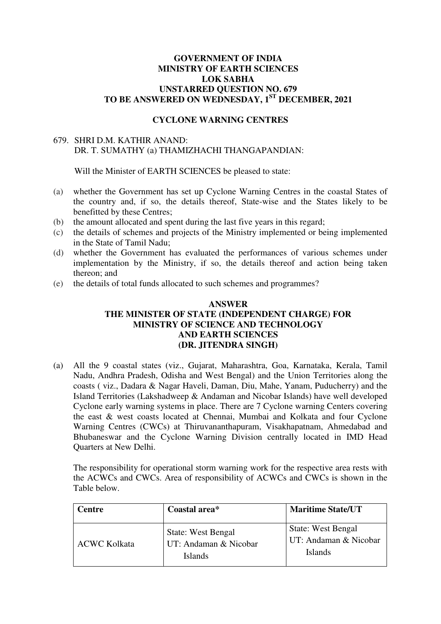#### **GOVERNMENT OF INDIA MINISTRY OF EARTH SCIENCES LOK SABHA UNSTARRED QUESTION NO. 679 TO BE ANSWERED ON WEDNESDAY, 1ST DECEMBER, 2021**

#### **CYCLONE WARNING CENTRES**

#### 679. SHRI D.M. KATHIR ANAND: DR. T. SUMATHY (a) THAMIZHACHI THANGAPANDIAN:

Will the Minister of EARTH SCIENCES be pleased to state:

- (a) whether the Government has set up Cyclone Warning Centres in the coastal States of the country and, if so, the details thereof, State-wise and the States likely to be benefitted by these Centres;
- (b) the amount allocated and spent during the last five years in this regard;
- (c) the details of schemes and projects of the Ministry implemented or being implemented in the State of Tamil Nadu;
- (d) whether the Government has evaluated the performances of various schemes under implementation by the Ministry, if so, the details thereof and action being taken thereon; and
- (e) the details of total funds allocated to such schemes and programmes?

#### **ANSWER THE MINISTER OF STATE (INDEPENDENT CHARGE) FOR MINISTRY OF SCIENCE AND TECHNOLOGY AND EARTH SCIENCES (DR. JITENDRA SINGH)**

(a) All the 9 coastal states (viz., Gujarat, Maharashtra, Goa, Karnataka, Kerala, Tamil Nadu, Andhra Pradesh, Odisha and West Bengal) and the Union Territories along the coasts ( viz., Dadara & Nagar Haveli, Daman, Diu, Mahe, Yanam, Puducherry) and the Island Territories (Lakshadweep & Andaman and Nicobar Islands) have well developed Cyclone early warning systems in place. There are 7 Cyclone warning Centers covering the east & west coasts located at Chennai, Mumbai and Kolkata and four Cyclone Warning Centres (CWCs) at Thiruvananthapuram, Visakhapatnam, Ahmedabad and Bhubaneswar and the Cyclone Warning Division centrally located in IMD Head Quarters at New Delhi.

The responsibility for operational storm warning work for the respective area rests with the ACWCs and CWCs. Area of responsibility of ACWCs and CWCs is shown in the Table below.

| <b>Centre</b>       | Coastal area*                                                        | <b>Maritime State/UT</b>                                      |
|---------------------|----------------------------------------------------------------------|---------------------------------------------------------------|
| <b>ACWC Kolkata</b> | <b>State: West Bengal</b><br>UT: Andaman & Nicobar<br><b>Islands</b> | <b>State: West Bengal</b><br>UT: Andaman & Nicobar<br>Islands |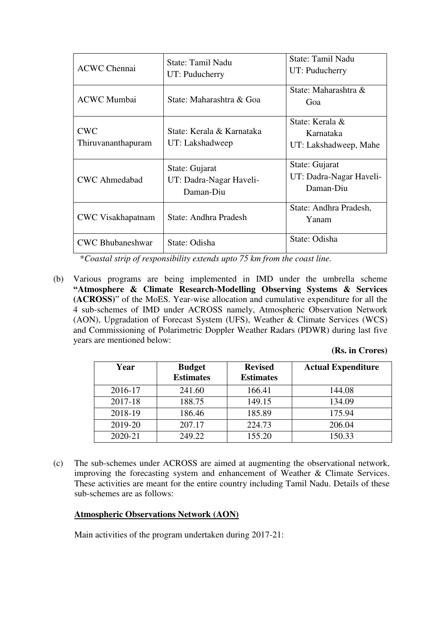| <b>ACWC Chennai</b>              | State: Tamil Nadu<br>UT: Puducherry                    | State: Tamil Nadu<br>UT: Puducherry                    |
|----------------------------------|--------------------------------------------------------|--------------------------------------------------------|
| <b>ACWC Mumbai</b>               | State: Maharashtra & Goa                               | State: Maharashtra &<br>Goa                            |
| <b>CWC</b><br>Thiruvananthapuram | State: Kerala & Karnataka<br>UT: Lakshadweep           | State: Kerala &<br>Karnataka<br>UT: Lakshadweep, Mahe  |
| <b>CWC</b> Ahmedabad             | State: Gujarat<br>UT: Dadra-Nagar Haveli-<br>Daman-Diu | State: Gujarat<br>UT: Dadra-Nagar Haveli-<br>Daman-Diu |
| <b>CWC</b> Visakhapatnam         | State: Andhra Pradesh                                  | State: Andhra Pradesh,<br>Yanam                        |
| <b>CWC Bhubaneshwar</b>          | State: Odisha                                          | State: Odisha                                          |

\**Coastal strip of responsibility extends upto 75 km from the coast line.* 

(b) Various programs are being implemented in IMD under the umbrella scheme **"Atmosphere & Climate Research-Modelling Observing Systems & Services (ACROSS)**" of the MoES. Year-wise allocation and cumulative expenditure for all the 4 sub-schemes of IMD under ACROSS namely, Atmospheric Observation Network (AON), Upgradation of Forecast System (UFS), Weather & Climate Services (WCS) and Commissioning of Polarimetric Doppler Weather Radars (PDWR) during last five years are mentioned below:

# **(Rs. in Crores)**

| Year    | <b>Budget</b><br><b>Estimates</b> | <b>Revised</b><br><b>Estimates</b> | <b>Actual Expenditure</b> |
|---------|-----------------------------------|------------------------------------|---------------------------|
| 2016-17 | 241.60                            | 166.41                             | 144.08                    |
| 2017-18 | 188.75                            | 149.15                             | 134.09                    |
| 2018-19 | 186.46                            | 185.89                             | 175.94                    |
| 2019-20 | 207.17                            | 224.73                             | 206.04                    |
| 2020-21 | 249.22                            | 155.20                             | 150.33                    |

(c) The sub-schemes under ACROSS are aimed at augmenting the observational network, improving the forecasting system and enhancement of Weather & Climate Services. These activities are meant for the entire country including Tamil Nadu. Details of these sub-schemes are as follows:

# **Atmospheric Observations Network (AON)**

Main activities of the program undertaken during 2017-21: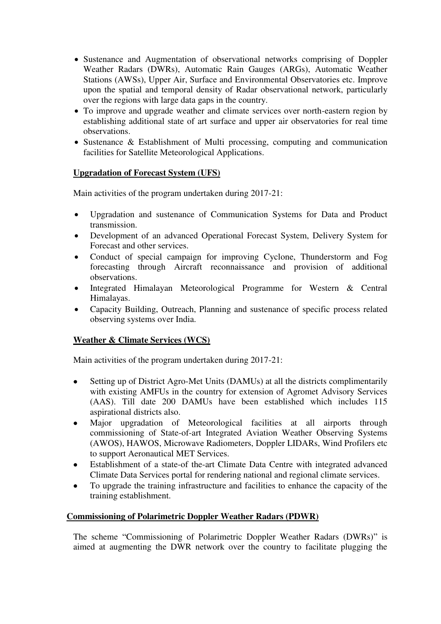- Sustenance and Augmentation of observational networks comprising of Doppler Weather Radars (DWRs), Automatic Rain Gauges (ARGs), Automatic Weather Stations (AWSs), Upper Air, Surface and Environmental Observatories etc. Improve upon the spatial and temporal density of Radar observational network, particularly over the regions with large data gaps in the country.
- To improve and upgrade weather and climate services over north-eastern region by establishing additional state of art surface and upper air observatories for real time observations.
- Sustenance & Establishment of Multi processing, computing and communication facilities for Satellite Meteorological Applications.

# **Upgradation of Forecast System (UFS)**

Main activities of the program undertaken during 2017-21:

- Upgradation and sustenance of Communication Systems for Data and Product transmission.
- Development of an advanced Operational Forecast System, Delivery System for Forecast and other services.
- Conduct of special campaign for improving Cyclone, Thunderstorm and Fog forecasting through Aircraft reconnaissance and provision of additional observations.
- Integrated Himalayan Meteorological Programme for Western & Central Himalayas.
- Capacity Building, Outreach, Planning and sustenance of specific process related observing systems over India.

# **Weather & Climate Services (WCS)**

Main activities of the program undertaken during 2017-21:

- Setting up of District Agro-Met Units (DAMUs) at all the districts complimentarily with existing AMFUs in the country for extension of Agromet Advisory Services (AAS). Till date 200 DAMUs have been established which includes 115 aspirational districts also.
- Major upgradation of Meteorological facilities at all airports through commissioning of State-of-art Integrated Aviation Weather Observing Systems (AWOS), HAWOS, Microwave Radiometers, Doppler LIDARs, Wind Profilers etc to support Aeronautical MET Services.
- Establishment of a state-of the-art Climate Data Centre with integrated advanced Climate Data Services portal for rendering national and regional climate services.
- To upgrade the training infrastructure and facilities to enhance the capacity of the training establishment.

# **Commissioning of Polarimetric Doppler Weather Radars (PDWR)**

The scheme "Commissioning of Polarimetric Doppler Weather Radars (DWRs)" is aimed at augmenting the DWR network over the country to facilitate plugging the